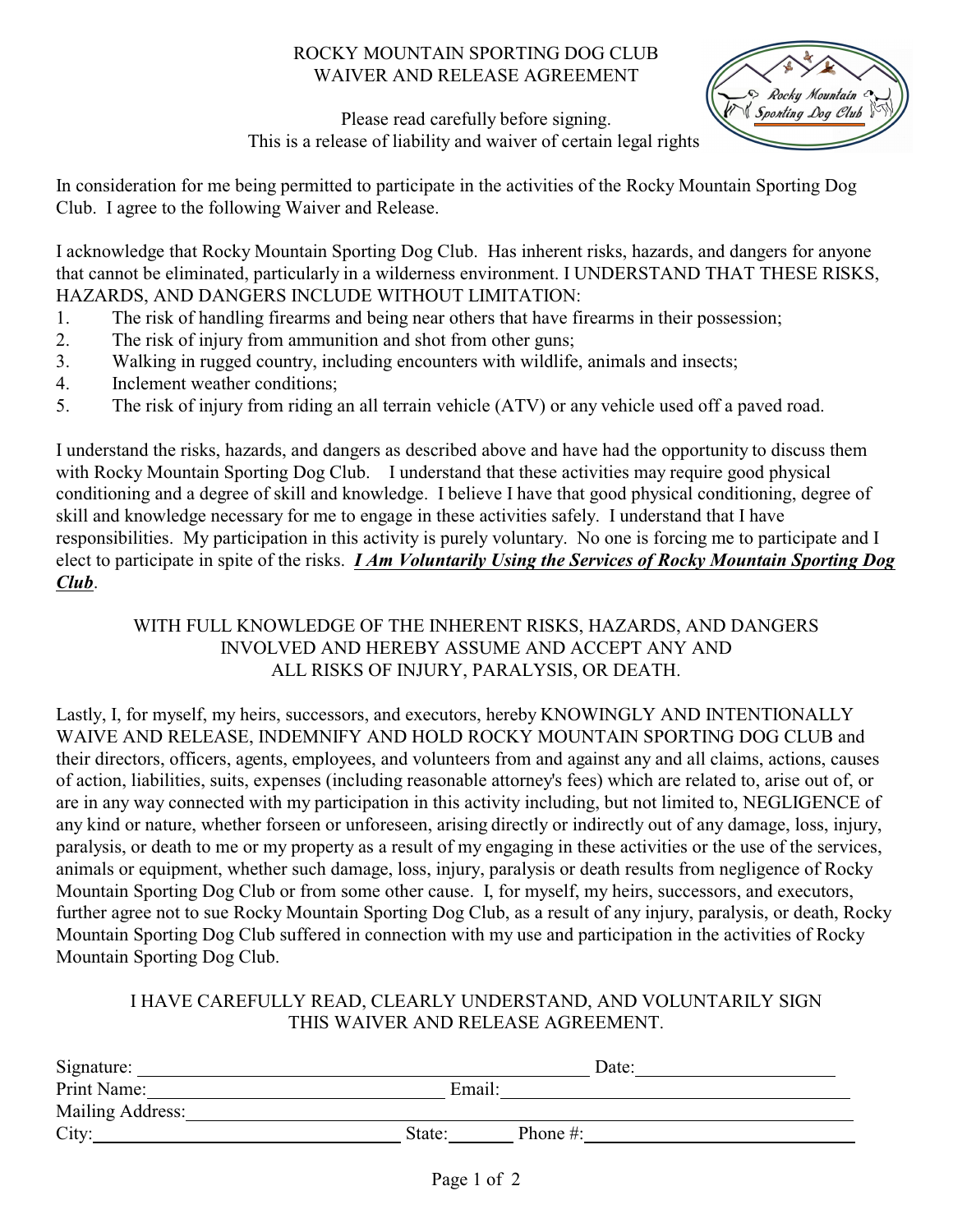## ROCKY MOUNTAIN SPORTING DOG CLUB WAIVER AND RELEASE AGREEMENT



Please read carefully before signing. This is a release of liability and waiver of certain legal rights.

In consideration for me being permitted to participate in the activities of the Rocky Mountain Sporting Dog Club. I agree to the following Waiver and Release.

I acknowledge that Rocky Mountain Sporting Dog Club. Has inherent risks, hazards, and dangers for anyone that cannot be eliminated, particularly in a wilderness environment. I UNDERSTAND THAT THESE RISKS, HAZARDS, AND DANGERS INCLUDE WITHOUT LIMITATION:

- 1. The risk of handling firearms and being near others that have firearms in their possession;
- 2. The risk of injury from ammunition and shot from other guns;
- 3. Walking in rugged country, including encounters with wildlife, animals and insects;
- 4. Inclement weather conditions;
- 5. The risk of injury from riding an all terrain vehicle (ATV) or any vehicle used off a paved road.

I understand the risks, hazards, and dangers as described above and have had the opportunity to discuss them with Rocky Mountain Sporting Dog Club. I understand that these activities may require good physical conditioning and a degree of skill and knowledge. I believe I have that good physical conditioning, degree of skill and knowledge necessary for me to engage in these activities safely. I understand that I have responsibilities. My participation in this activity is purely voluntary. No one is forcing me to participate and I elect to participate in spite of the risks. *I Am Voluntarily Using the Services of Rocky Mountain Sporting Dog Club*.

## WITH FULL KNOWLEDGE OF THE INHERENT RISKS, HAZARDS, AND DANGERS INVOLVED AND HEREBY ASSUME AND ACCEPT ANY AND ALL RISKS OF INJURY, PARALYSIS, OR DEATH.

Lastly, I, for myself, my heirs, successors, and executors, hereby KNOWINGLY AND INTENTIONALLY WAIVE AND RELEASE, INDEMNIFY AND HOLD ROCKY MOUNTAIN SPORTING DOG CLUB and their directors, officers, agents, employees, and volunteers from and against any and all claims, actions, causes of action, liabilities, suits, expenses (including reasonable attorney's fees) which are related to, arise out of, or are in any way connected with my participation in this activity including, but not limited to, NEGLIGENCE of any kind or nature, whether forseen or unforeseen, arising directly or indirectly out of any damage, loss, injury, paralysis, or death to me or my property as a result of my engaging in these activities or the use of the services, animals or equipment, whether such damage, loss, injury, paralysis or death results from negligence of Rocky Mountain Sporting Dog Club or from some other cause. I, for myself, my heirs, successors, and executors, further agree not to sue Rocky Mountain Sporting Dog Club, as a result of any injury, paralysis, or death, Rocky Mountain Sporting Dog Club suffered in connection with my use and participation in the activities of Rocky Mountain Sporting Dog Club.

## I HAVE CAREFULLY READ, CLEARLY UNDERSTAND, AND VOLUNTARILY SIGN THIS WAIVER AND RELEASE AGREEMENT.

| Signature:       |        | Date:        |  |
|------------------|--------|--------------|--|
| Print Name:      | Email: |              |  |
| Mailing Address: |        |              |  |
| City:            | State: | Phone $\#$ : |  |
|                  |        |              |  |